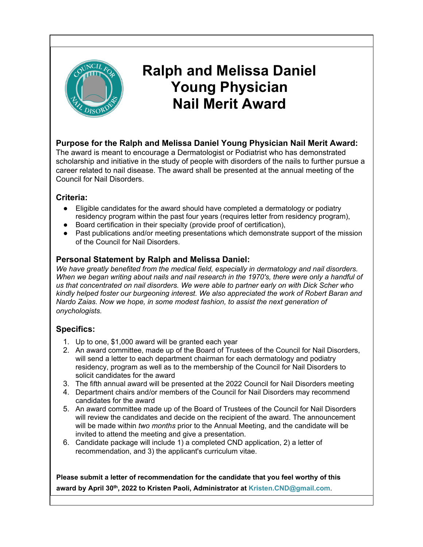

## **Ralph and Melissa Daniel Young Physician Nail Merit Award**

#### **Purpose for the Ralph and Melissa Daniel Young Physician Nail Merit Award:**

The award is meant to encourage a Dermatologist or Podiatrist who has demonstrated scholarship and initiative in the study of people with disorders of the nails to further pursue a career related to nail disease. The award shall be presented at the annual meeting of the Council for Nail Disorders.

#### **Criteria:**

- Eligible candidates for the award should have completed a dermatology or podiatry residency program within the past four years (requires letter from residency program),
- Board certification in their specialty (provide proof of certification),
- Past publications and/or meeting presentations which demonstrate support of the mission of the Council for Nail Disorders.

#### **Personal Statement by Ralph and Melissa Daniel:**

*We have greatly benefited from the medical field, especially in dermatology and nail disorders. When we began writing about nails and nail research in the 1970's, there were only a handful of us that concentrated on nail disorders. We were able to partner early on with Dick Scher who kindly helped foster our burgeoning interest. We also appreciated the work of Robert Baran and Nardo Zaias. Now we hope, in some modest fashion, to assist the next generation of onychologists.*

#### **Specifics:**

- 1. Up to one, \$1,000 award will be granted each year
- 2. An award committee, made up of the Board of Trustees of the Council for Nail Disorders, will send a letter to each department chairman for each dermatology and podiatry residency, program as well as to the membership of the Council for Nail Disorders to solicit candidates for the award
- 3. The fifth annual award will be presented at the 2022 Council for Nail Disorders meeting
- 4. Department chairs and/or members of the Council for Nail Disorders may recommend candidates for the award
- 5. An award committee made up of the Board of Trustees of the Council for Nail Disorders will review the candidates and decide on the recipient of the award. The announcement will be made within *two months* prior to the Annual Meeting, and the candidate will be invited to attend the meeting and give a presentation.
- 6. Candidate package will include 1) a completed CND application, 2) a letter of recommendation, and 3) the applicant's curriculum vitae.

**Please submit a letter of recommendation for the candidate that you feel worthy of this award by April 30th , 2022 to Kristen Paoli, Administrator at Kristen.CND@gmail.com**.